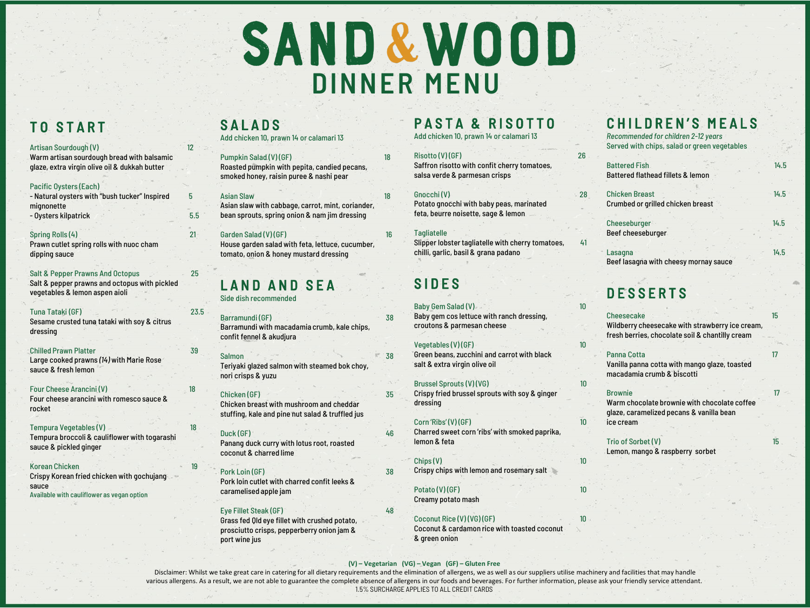# SAND&WOOD **DINNER MENU**

# TO START

#### Artisan Sourdough (V) 12

Warm artisan sourdough bread with balsamic glaze, extra virgin olive oil & dukkah butter

### Pacific Oysters (Each)

- Natural oysters with "bush tucker" Inspired 5 mignonette - Oysters kilpatrick 5.5

### Spring Rolls (4) 21

Prawn cutlet spring rolls with nuoc cham dipping sauce

### Salt & Pepper Prawns And Octopus 25

Salt & pepper prawns and octopus with pickled vegetables & lemon aspen aioli

#### Tuna Tataki (GF) 23.5

Sesame crusted tuna tataki with soy & citrus dressing

#### Chilled Prawn Platter 39

Large cooked prawns *(14)* with Marie Rose sauce & fresh lemon

#### Four Cheese Arancini (V) 18

Four cheese arancini with romesco sauce & rocket

### Tempura Vegetables (V) and the contract of the 18

Tempura broccoli & cauliflower with togarashi sauce & pickled ginger

#### Korean Chicken

Crispy Korean fried chicken with gochujang sauce

### Available with cauliflower as vegan option

### **SALADS**

Add chicken 10, prawn 14 or calamari 13

### Pumpkin Salad (V) (GF) 18

Roasted pumpkin with pepita, candied pecans, smoked honey, raisin puree & nashi pear

### Asian Slaw 18

Asian slaw with cabbage, carrot, mint, coriander, bean sprouts, spring onion & nam jim dressing

### Garden Salad (V) (GF) 16

House garden salad with feta, lettuce, cucumber, tomato, onion & honey mustard dressing

### LAND AND SEA

Side dish recommended

### Barramundi (GF) 38

Barramundi with macadamia crumb, kale chips,

### Salmon 38

### Chicken (GF) 35

stuffing, kale and pine nut salad & truffled jus

### Duck (GF) 46

Panang duck curry with lotus root, roasted coconut & charred lime

### Pork Loin (GF) 38

Pork loin cutlet with charred confit leeks & caramelised apple jam

### Eye Fillet Steak (GF) 48

Grass fed Qld eye fillet with crushed potato, prosciutto crisps, pepperberry onion jam & port wine jus

### PASTA & RISOTTO

Add chicken 10, prawn 14 or calamari 13

### Risotto (V) (GF) 26

Saffron risotto with confit cherry tomatoes, salsa verde & parmesan crisps

### Gnocchi (V) 28

Potato gnocchi with baby peas, marinated feta, beurre noisette, sage & lemon

### **Tagliatelle**

Slipper lobster tagliatelle with cherry tomatoes, 41 chilli, garlic, basil & grana padano

### **SIDES**

### Baby Gem Salad (V) 10

Baby gem cos lettuce with ranch dressing, croutons & parmesan cheese

### $Vegetables (V) (GF)$  10

Green beans, zucchini and carrot with black salt & extra virgin olive oil

### Brussel Sprouts (V) (VG) 10

Crispy fried brussel sprouts with soy & ginger dressing

### $Corn$  'Ribs' (V) (GF) 10

Charred sweet corn 'ribs' with smoked paprika, lemon & feta

### $Chips(V)$  10

Crispy chips with lemon and rosemary salt

### $Potato (V) (GF)$  10

Creamy potato mash

### Coconut Rice (V) (VG) (GF) 10

Coconut & cardamon rice with toasted coconut & green onion

### CHILDREN'S MEALS

*Recommended for children 2-12 years*  Served with chips, salad or green vegetables

|  |                                   | 14.5 |
|--|-----------------------------------|------|
|  |                                   |      |
|  |                                   | 14.5 |
|  | Battered flathead fillets & lemon |      |

Crumbed or grilled chicken breast

Cheeseburger 14.5 Beef cheeseburger

Lasagna 14.5 Beef lasagna with cheesy mornay sauce

# **DESSERTS**

# Cheesecake 15

Wildberry cheesecake with strawberry ice cream, fresh berries, chocolate soil & chantilly cream

### Panna Cotta 17

Vanilla panna cotta with mango glaze, toasted macadamia crumb & biscotti

### Brownie 17

Warm chocolate brownie with chocolate coffee glaze, caramelized pecans & vanilla bean ice cream

Trio of Sorbet (V) 15 Lemon, mango & raspberry sorbet

**(V) – Vegetarian (VG) – Vegan (GF) – Gluten Free**

Disclaimer: Whilst we take great care in catering for all dietary requirements and the elimination of allergens, we as well as our suppliers utilise machinery and facilities that may handle various allergens. As a result, we are not able to guarantee the complete absence of allergens in our foods and beverages. For further information, please ask your friendly service attendant. 1.5% SURCHARGE APPLIES TO ALL CREDIT CARDS

confit fennel & akudjura

Teriyaki glazed salmon with steamed bok choy, nori crisps & yuzu

Chicken breast with mushroom and cheddar